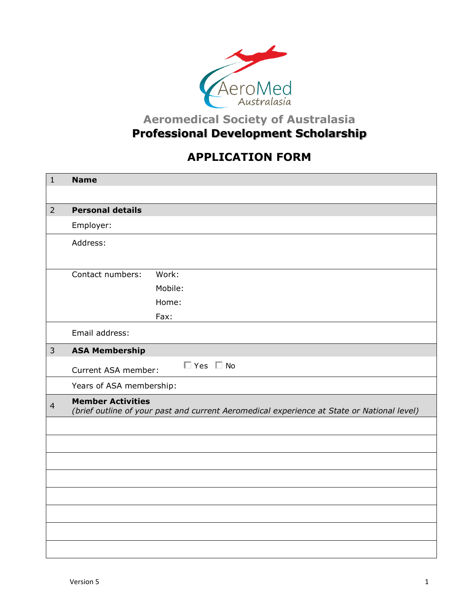

## **Aeromedical Society of Australasia Professional Development Scholarship**

## **APPLICATION FORM**

| $1\,$          | <b>Name</b>                                                                                                            |            |  |
|----------------|------------------------------------------------------------------------------------------------------------------------|------------|--|
| $\overline{2}$ | <b>Personal details</b>                                                                                                |            |  |
|                | Employer:                                                                                                              |            |  |
|                | Address:                                                                                                               |            |  |
|                | Contact numbers:                                                                                                       | Work:      |  |
|                |                                                                                                                        | Mobile:    |  |
|                |                                                                                                                        | Home:      |  |
|                |                                                                                                                        | Fax:       |  |
|                | Email address:                                                                                                         |            |  |
| $\overline{3}$ | <b>ASA Membership</b>                                                                                                  |            |  |
|                | Current ASA member:                                                                                                    | □ Yes □ No |  |
|                | Years of ASA membership:                                                                                               |            |  |
| $\overline{4}$ | <b>Member Activities</b><br>(brief outline of your past and current Aeromedical experience at State or National level) |            |  |
|                |                                                                                                                        |            |  |
|                |                                                                                                                        |            |  |
|                |                                                                                                                        |            |  |
|                |                                                                                                                        |            |  |
|                |                                                                                                                        |            |  |
|                |                                                                                                                        |            |  |
|                |                                                                                                                        |            |  |
|                |                                                                                                                        |            |  |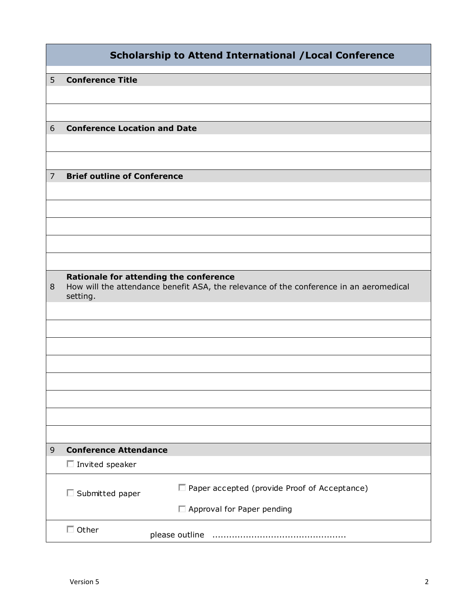|                |                                                                                                                                              | <b>Scholarship to Attend International / Local Conference</b> |
|----------------|----------------------------------------------------------------------------------------------------------------------------------------------|---------------------------------------------------------------|
| 5              | <b>Conference Title</b>                                                                                                                      |                                                               |
|                |                                                                                                                                              |                                                               |
|                |                                                                                                                                              |                                                               |
| 6              | <b>Conference Location and Date</b>                                                                                                          |                                                               |
|                |                                                                                                                                              |                                                               |
|                |                                                                                                                                              |                                                               |
| $\overline{7}$ | <b>Brief outline of Conference</b>                                                                                                           |                                                               |
|                |                                                                                                                                              |                                                               |
|                |                                                                                                                                              |                                                               |
|                |                                                                                                                                              |                                                               |
|                |                                                                                                                                              |                                                               |
|                |                                                                                                                                              |                                                               |
| 8              | Rationale for attending the conference<br>How will the attendance benefit ASA, the relevance of the conference in an aeromedical<br>setting. |                                                               |
|                |                                                                                                                                              |                                                               |
|                |                                                                                                                                              |                                                               |
|                |                                                                                                                                              |                                                               |
|                |                                                                                                                                              |                                                               |
|                |                                                                                                                                              |                                                               |
|                |                                                                                                                                              |                                                               |
|                |                                                                                                                                              |                                                               |
|                |                                                                                                                                              |                                                               |
| $\mathsf 9$    | <b>Conference Attendance</b>                                                                                                                 |                                                               |
|                | $\Box$ Invited speaker                                                                                                                       |                                                               |
|                |                                                                                                                                              |                                                               |
|                | $\Box$ Submitted paper                                                                                                                       | Paper accepted (provide Proof of Acceptance)                  |
|                |                                                                                                                                              | Approval for Paper pending                                    |
|                | $\Box$ Other                                                                                                                                 |                                                               |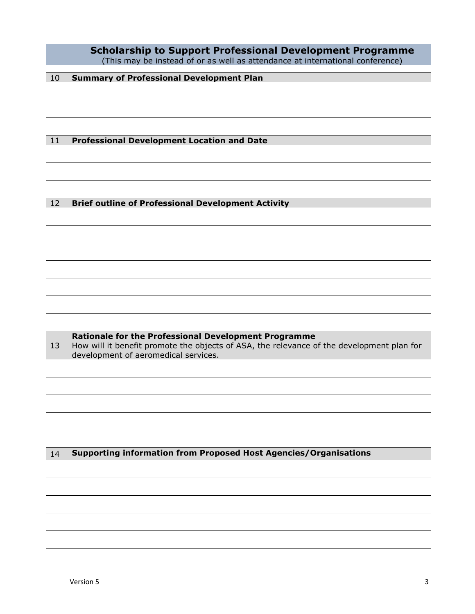| How will it benefit promote the objects of ASA, the relevance of the development plan for |
|-------------------------------------------------------------------------------------------|
|                                                                                           |
|                                                                                           |
|                                                                                           |
|                                                                                           |
|                                                                                           |
|                                                                                           |
|                                                                                           |
|                                                                                           |
|                                                                                           |
|                                                                                           |
|                                                                                           |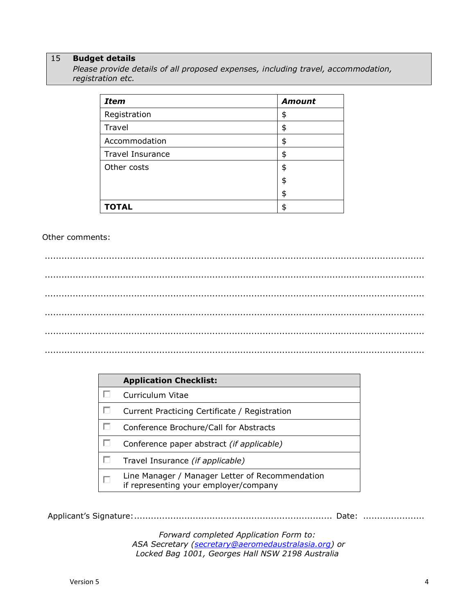## 15 **Budget details**

*Please provide details of all proposed expenses, including travel, accommodation, registration etc.*

| <b>Item</b>             | <b>Amount</b> |
|-------------------------|---------------|
| Registration            | \$            |
| Travel                  | \$            |
| Accommodation           | \$            |
| <b>Travel Insurance</b> | \$            |
| Other costs             | \$            |
|                         | \$            |
|                         | \$            |
| <b>TOTAL</b>            | \$            |

## Other comments:

........................................................................................................................................ ........................................................................................................................................ ........................................................................................................................................ ........................................................................................................................................ ........................................................................................................................................ ........................................................................................................................................

|   | <b>Application Checklist:</b>                                                            |  |  |
|---|------------------------------------------------------------------------------------------|--|--|
|   | Curriculum Vitae                                                                         |  |  |
|   | Current Practicing Certificate / Registration                                            |  |  |
|   | Conference Brochure/Call for Abstracts                                                   |  |  |
|   | Conference paper abstract (if applicable)                                                |  |  |
|   | Travel Insurance (if applicable)                                                         |  |  |
| г | Line Manager / Manager Letter of Recommendation<br>if representing your employer/company |  |  |

Applicant's Signature:....................................................................... Date: ......................

*Forward completed Application Form to: ASA Secretary [\(secretary@aeromedaustralasia.org\)](mailto:secretary@aeromedaustralasia.org) or Locked Bag 1001, Georges Hall NSW 2198 Australia*